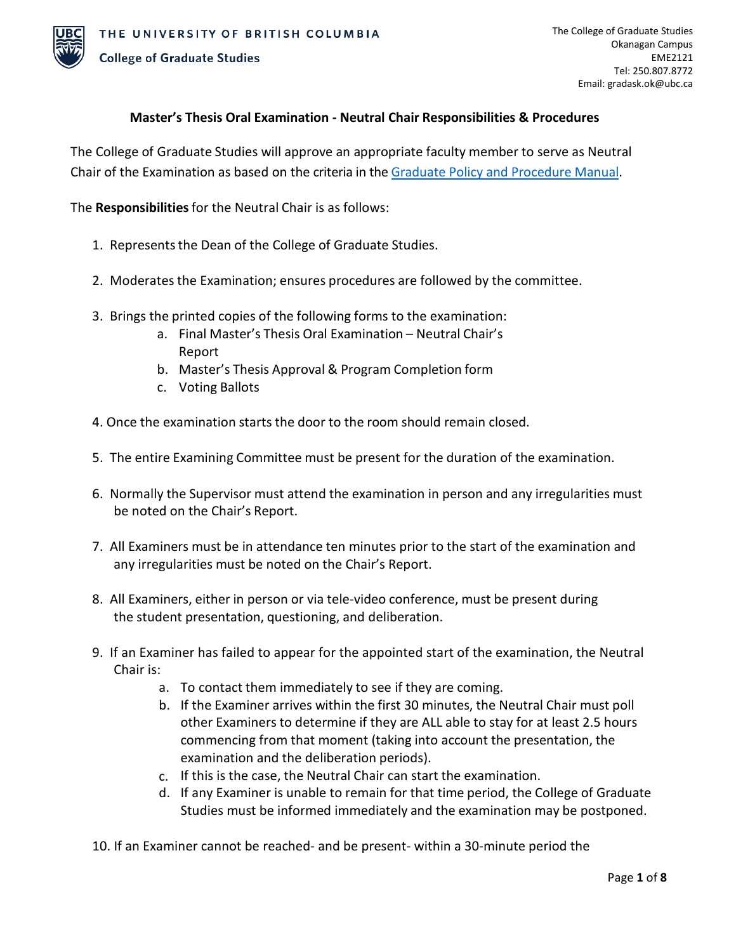

# **Master's Thesis Oral Examination - Neutral Chair Responsibilities & Procedures**

The College of Graduate Studies will approve an appropriate faculty member to serve as Neutral Chair of the Examination as based on the criteria in th[e Graduate Policy and Procedure Manual.](https://gradstudies.ok.ubc.ca/about-cogs/policies-procedures/)

The **Responsibilities**for the Neutral Chair is as follows:

- 1. Represents the Dean of the College of Graduate Studies.
- 2. Moderates the Examination; ensures procedures are followed by the committee.
- 3. Brings the printed copies of the following forms to the examination:
	- a. Final Master's Thesis Oral Examination Neutral Chair's Report
	- b. Master's Thesis Approval & Program Completion form
	- c. Voting Ballots
- 4. Once the examination starts the door to the room should remain closed.
- 5. The entire Examining Committee must be present for the duration of the examination.
- 6. Normally the Supervisor must attend the examination in person and any irregularities must be noted on the Chair's Report.
- 7. All Examiners must be in attendance ten minutes prior to the start of the examination and any irregularities must be noted on the Chair's Report.
- 8. All Examiners, either in person or via tele-video conference, must be present during the student presentation, questioning, and deliberation.
- 9. If an Examiner has failed to appear for the appointed start of the examination, the Neutral Chair is:
	- a. To contact them immediately to see if they are coming.
	- b. If the Examiner arrives within the first 30 minutes, the Neutral Chair must poll other Examiners to determine if they are ALL able to stay for at least 2.5 hours commencing from that moment (taking into account the presentation, the examination and the deliberation periods).
	- c. If this is the case, the Neutral Chair can start the examination.
	- d. If any Examiner is unable to remain for that time period, the College of Graduate Studies must be informed immediately and the examination may be postponed.
- 10. If an Examiner cannot be reached- and be present- within a 30-minute period the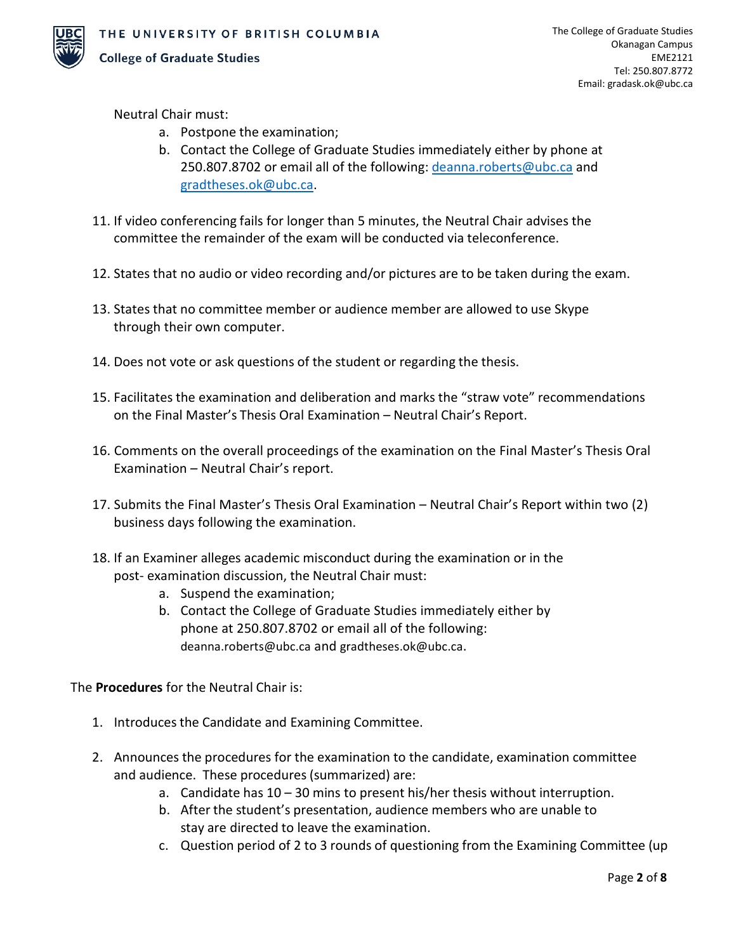

Neutral Chair must:

- a. Postpone the examination;
- b. Contact the College of Graduate Studies immediately either by phone at 250.807.8702 or email all of the following: [deanna.roberts@ubc.ca](mailto:deanna.roberts@ubc.ca) and [gradtheses.ok@ubc.ca.](mailto:gradtheses.ok@ubc.ca)
- 11. If video conferencing fails for longer than 5 minutes, the Neutral Chair advises the committee the remainder of the exam will be conducted via teleconference.
- 12. States that no audio or video recording and/or pictures are to be taken during the exam.
- 13. States that no committee member or audience member are allowed to use Skype through their own computer.
- 14. Does not vote or ask questions of the student or regarding the thesis.
- 15. Facilitates the examination and deliberation and marks the "straw vote" recommendations on the Final Master's Thesis Oral Examination – Neutral Chair's Report.
- 16. Comments on the overall proceedings of the examination on the Final Master's Thesis Oral Examination – Neutral Chair's report.
- 17. Submits the Final Master's Thesis Oral Examination Neutral Chair's Report within two (2) business days following the examination.
- 18. If an Examiner alleges academic misconduct during the examination or in the post- examination discussion, the Neutral Chair must:
	- a. Suspend the examination;
	- b. Contact the College of Graduate Studies immediately either by phone at 250.807.8702 or email all of the following: [deanna.roberts@ubc.ca](mailto:deanna.roberts@ubc.ca) and [gradtheses.ok@ubc.ca.](mailto:gradtheses.ok@ubc.ca)

The **Procedures** for the Neutral Chair is:

- 1. Introduces the Candidate and Examining Committee.
- 2. Announces the procedures for the examination to the candidate, examination committee and audience. These procedures (summarized) are:
	- a. Candidate has 10 30 mins to present his/her thesis without interruption.
	- b. After the student's presentation, audience members who are unable to stay are directed to leave the examination.
	- c. Question period of 2 to 3 rounds of questioning from the Examining Committee (up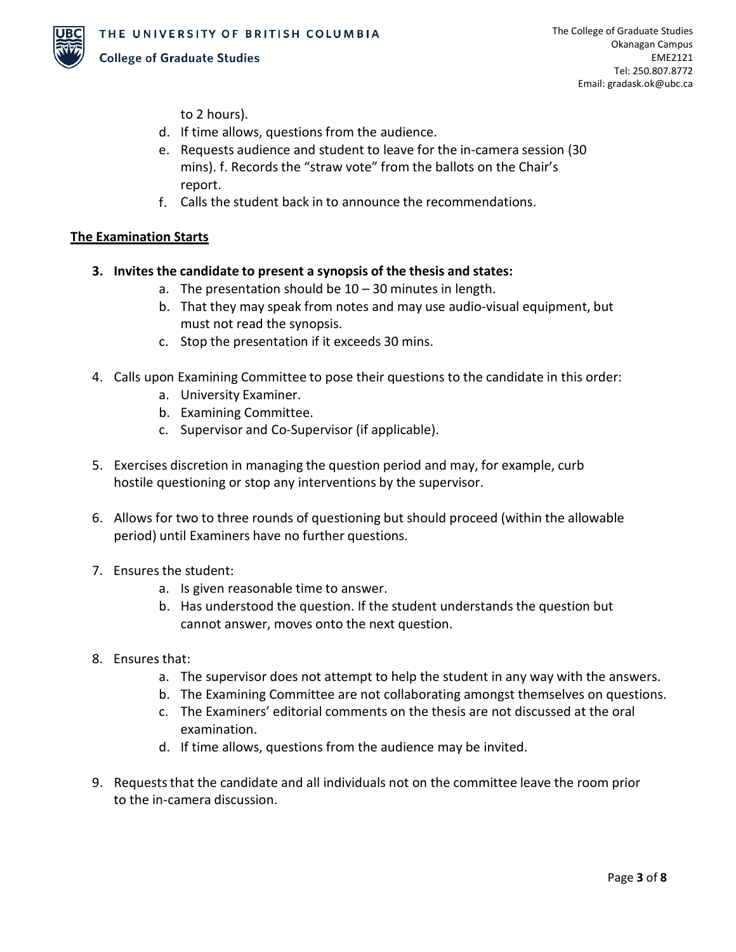

to 2 hours).

- d. If time allows, questions from the audience.
- e. Requests audience and student to leave for the in-camera session (30 mins). f. Records the "straw vote" from the ballots on the Chair's report.
- f. Calls the student back in to announce the recommendations.

## **The Examination Starts**

- **3. Invites the candidate to present a synopsis of the thesis and states:**
	- a. The presentation should be  $10 30$  minutes in length.
	- b. That they may speak from notes and may use audio-visual equipment, but must not read the synopsis.
	- c. Stop the presentation if it exceeds 30 mins.
- 4. Calls upon Examining Committee to pose their questions to the candidate in this order:
	- a. University Examiner.
	- b. Examining Committee.
	- c. Supervisor and Co-Supervisor (if applicable).
- 5. Exercises discretion in managing the question period and may, for example, curb hostile questioning or stop any interventions by the supervisor.
- 6. Allows for two to three rounds of questioning but should proceed (within the allowable period) until Examiners have no further questions.
- 7. Ensures the student:
	- a. Is given reasonable time to answer.
	- b. Has understood the question. If the student understands the question but cannot answer, moves onto the next question.
- 8. Ensures that:
	- a. The supervisor does not attempt to help the student in any way with the answers.
	- b. The Examining Committee are not collaborating amongst themselves on questions.
	- c. The Examiners' editorial comments on the thesis are not discussed at the oral examination.
	- d. If time allows, questions from the audience may be invited.
- 9. Requests that the candidate and all individuals not on the committee leave the room prior to the in-camera discussion.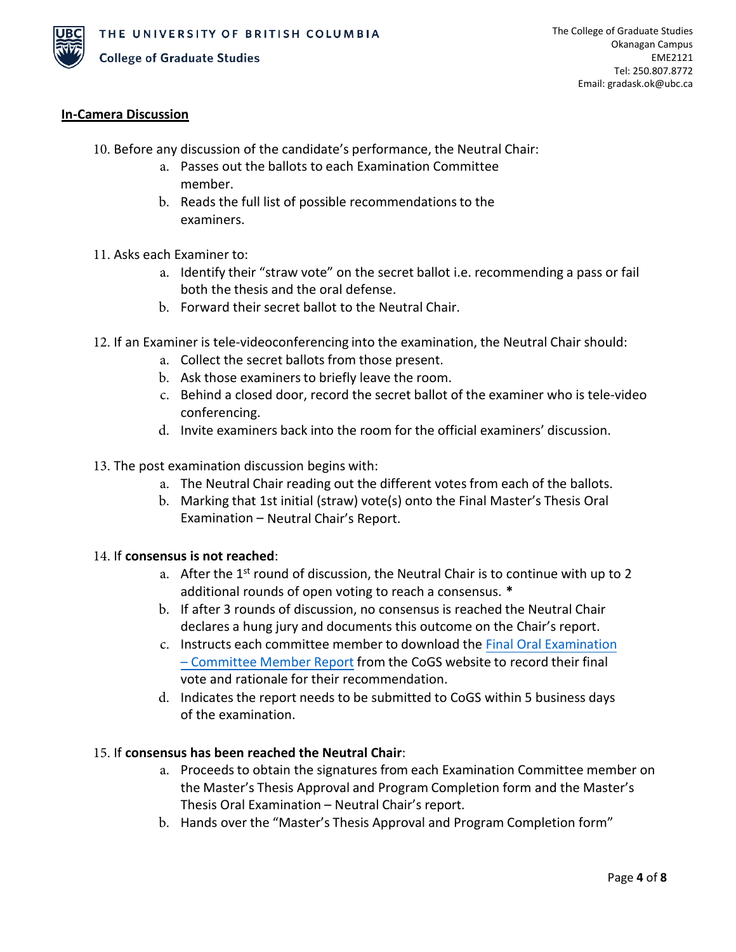

## **In-Camera Discussion**

- 10. Before any discussion of the candidate's performance, the Neutral Chair:
	- a. Passes out the ballots to each Examination Committee member.
	- b. Reads the full list of possible recommendations to the examiners.
- 11. Asks each Examiner to:
	- a. Identify their "straw vote" on the secret ballot i.e. recommending a pass or fail both the thesis and the oral defense.
	- b. Forward their secret ballot to the Neutral Chair.
- 12. If an Examiner is tele-videoconferencing into the examination, the Neutral Chair should:
	- a. Collect the secret ballots from those present.
	- b. Ask those examiners to briefly leave the room.
	- c. Behind a closed door, record the secret ballot of the examiner who is tele-video conferencing.
	- d. Invite examiners back into the room for the official examiners' discussion.
- 13. The post examination discussion begins with:
	- a. The Neutral Chair reading out the different votes from each of the ballots.
	- b. Marking that 1st initial (straw) vote(s) onto the Final Master's Thesis Oral Examination – Neutral Chair's Report.

### 14. If **consensus is not reached**:

- a. After the  $1<sup>st</sup>$  round of discussion, the Neutral Chair is to continue with up to 2 additional rounds of open voting to reach a consensus. **\***
- b. If after 3 rounds of discussion, no consensus is reached the Neutral Chair declares a hung jury and documents this outcome on the Chair's report.
- c. Instructs each committee member to download the Final Oral [Examination](https://gradstudies.ok.ubc.ca/resources/forms/final-oral-examination-committee-member-report/) [– Committee Member Report](https://gradstudies.ok.ubc.ca/resources/forms/final-oral-examination-committee-member-report/) from the CoGS website to record their final vote and rationale for their recommendation.
- d. Indicates the report needs to be submitted to CoGS within 5 business days of the examination.

### 15. If **consensus has been reached the Neutral Chair**:

- a. Proceeds to obtain the signatures from each Examination Committee member on the Master's Thesis Approval and Program Completion form and the Master's Thesis Oral Examination – Neutral Chair's report.
- b. Hands over the "Master's Thesis Approval and Program Completion form"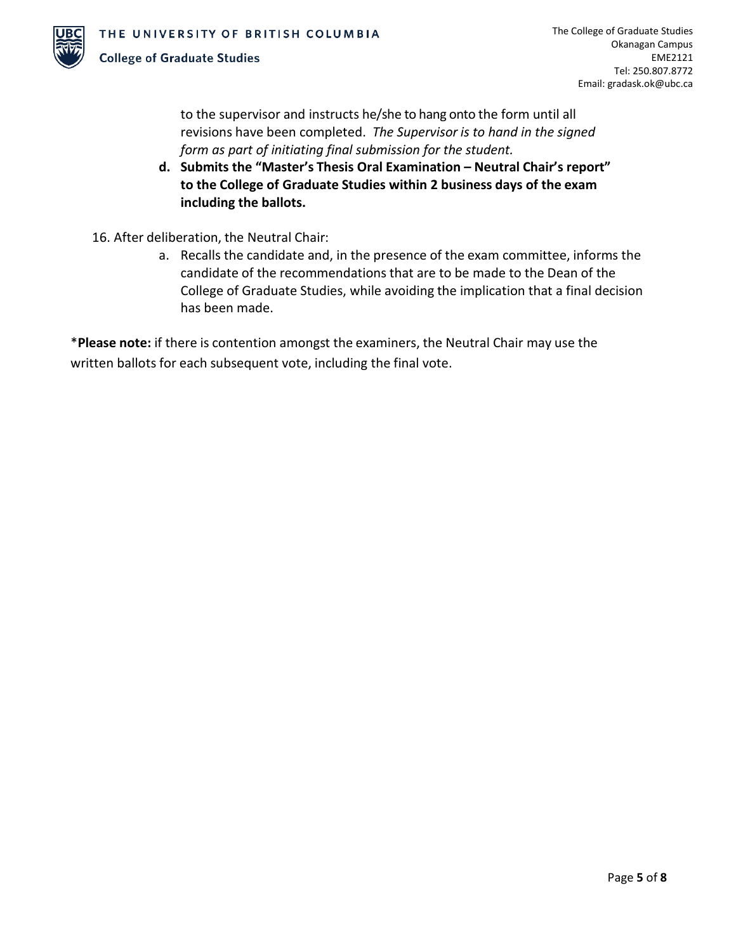

to the supervisor and instructs he/she to hang onto the form until all revisions have been completed. *The Supervisor is to hand in the signed form as part of initiating final submission for the student.*

- **d. Submits the "Master's Thesis Oral Examination – Neutral Chair's report" to the College of Graduate Studies within 2 business days of the exam including the ballots.**
- 16. After deliberation, the Neutral Chair:
	- a. Recalls the candidate and, in the presence of the exam committee, informs the candidate of the recommendations that are to be made to the Dean of the College of Graduate Studies, while avoiding the implication that a final decision has been made.

\***Please note:** if there is contention amongst the examiners, the Neutral Chair may use the written ballots for each subsequent vote, including the final vote.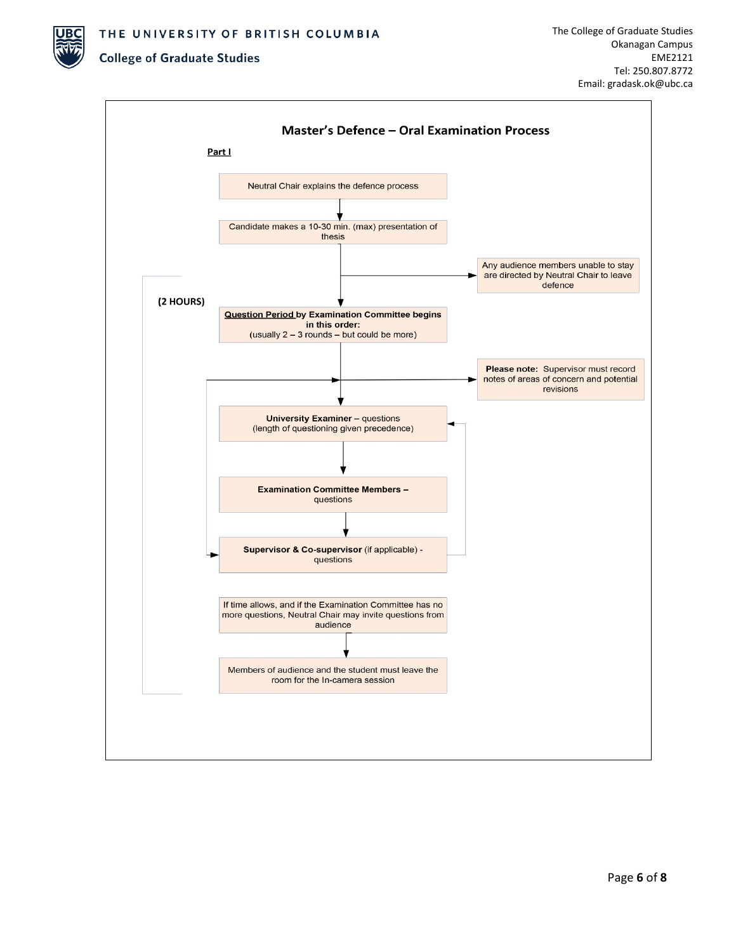THE UNIVERSITY OF BRITISH COLUMBIA

#### **College of Graduate Studies**

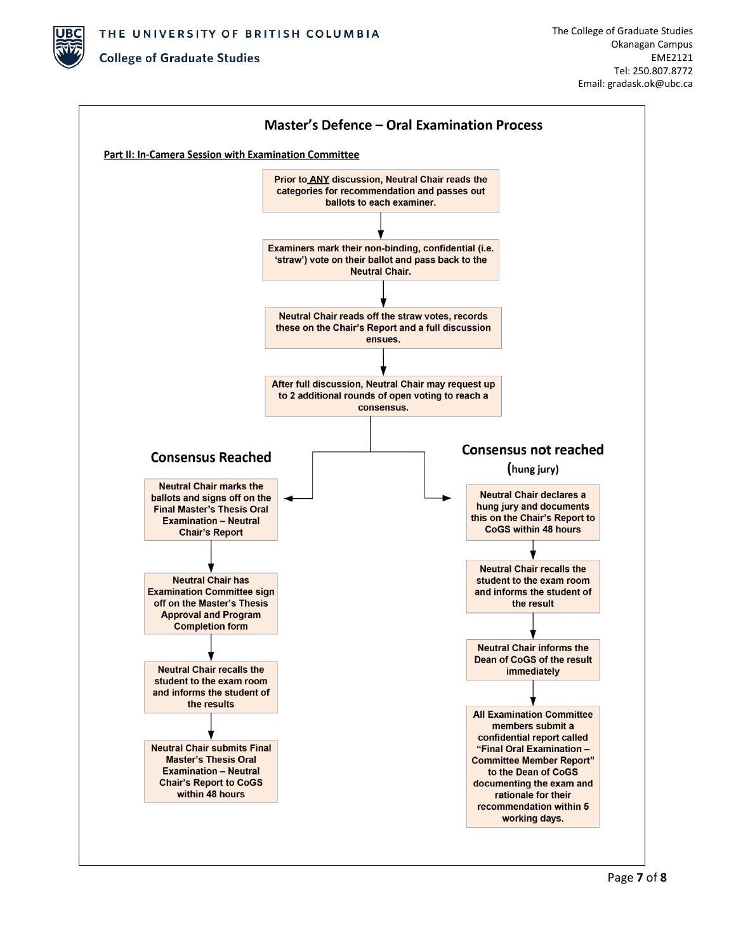

## **College of Graduate Studies**